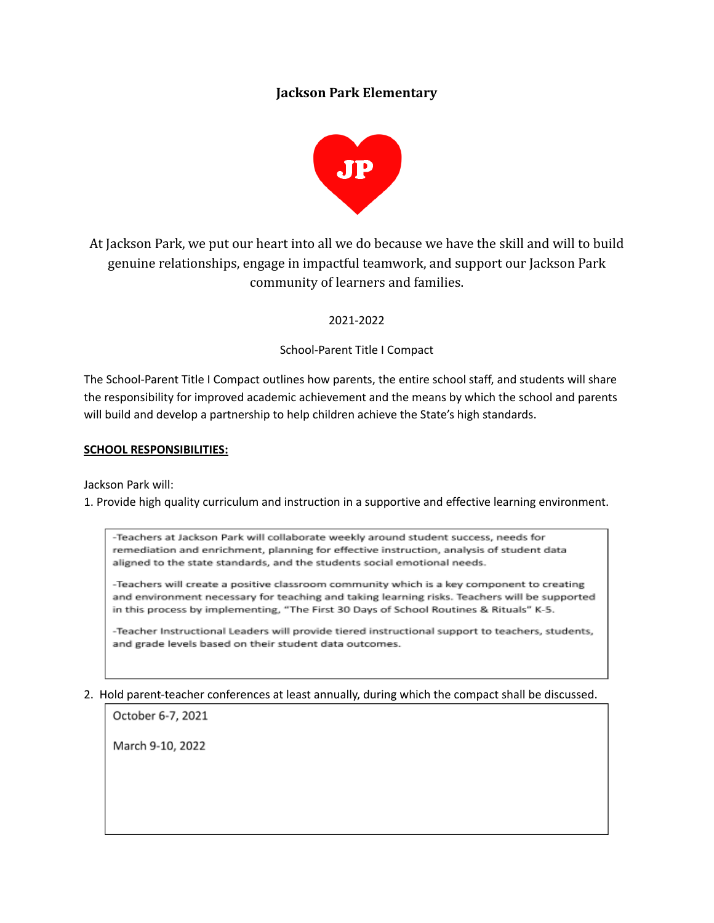## **Jackson Park Elementary**



At Jackson Park, we put our heart into all we do because we have the skill and will to build genuine relationships, engage in impactful teamwork, and support our Jackson Park community of learners and families.

### 2021-2022

### School-Parent Title I Compact

The School-Parent Title I Compact outlines how parents, the entire school staff, and students will share the responsibility for improved academic achievement and the means by which the school and parents will build and develop a partnership to help children achieve the State's high standards.

#### **SCHOOL RESPONSIBILITIES:**

Jackson Park will:

1. Provide high quality curriculum and instruction in a supportive and effective learning environment.

-Teachers at Jackson Park will collaborate weekly around student success, needs for remediation and enrichment, planning for effective instruction, analysis of student data aligned to the state standards, and the students social emotional needs.

-Teachers will create a positive classroom community which is a key component to creating and environment necessary for teaching and taking learning risks. Teachers will be supported in this process by implementing, "The First 30 Days of School Routines & Rituals" K-5.

-Teacher Instructional Leaders will provide tiered instructional support to teachers, students, and grade levels based on their student data outcomes.

#### 2. Hold parent-teacher conferences at least annually, during which the compact shall be discussed.

October 6-7, 2021

March 9-10, 2022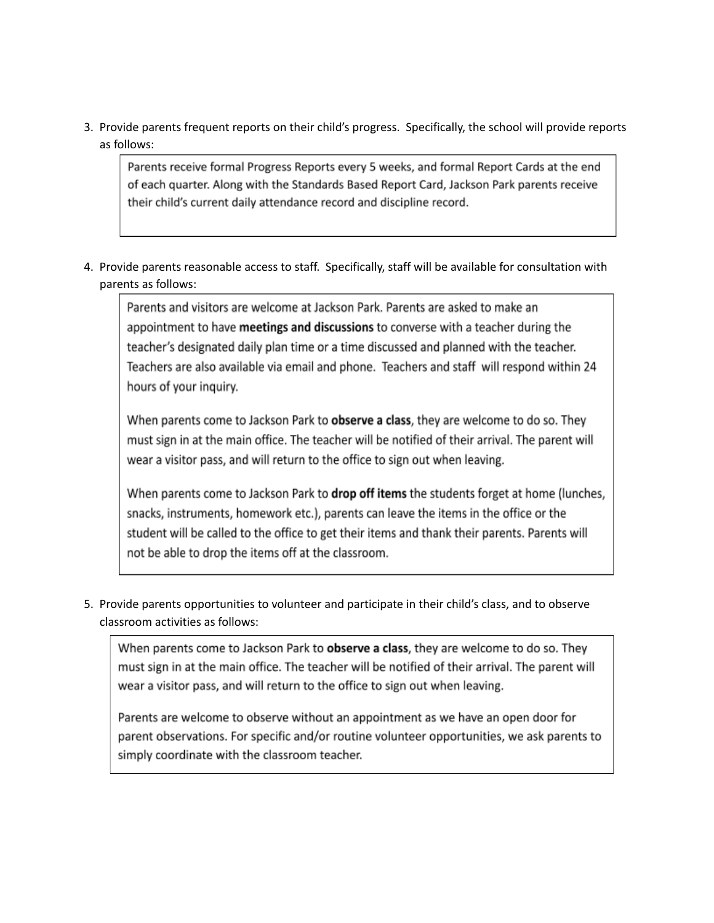3. Provide parents frequent reports on their child's progress. Specifically, the school will provide reports as follows:

Parents receive formal Progress Reports every 5 weeks, and formal Report Cards at the end of each quarter. Along with the Standards Based Report Card, Jackson Park parents receive their child's current daily attendance record and discipline record.

4. Provide parents reasonable access to staff. Specifically, staff will be available for consultation with parents as follows:

Parents and visitors are welcome at Jackson Park. Parents are asked to make an appointment to have meetings and discussions to converse with a teacher during the teacher's designated daily plan time or a time discussed and planned with the teacher. Teachers are also available via email and phone. Teachers and staff will respond within 24 hours of your inquiry.

When parents come to Jackson Park to observe a class, they are welcome to do so. They must sign in at the main office. The teacher will be notified of their arrival. The parent will wear a visitor pass, and will return to the office to sign out when leaving.

When parents come to Jackson Park to drop off items the students forget at home (lunches, snacks, instruments, homework etc.), parents can leave the items in the office or the student will be called to the office to get their items and thank their parents. Parents will not be able to drop the items off at the classroom.

5. Provide parents opportunities to volunteer and participate in their child's class, and to observe classroom activities as follows:

When parents come to Jackson Park to **observe a class**, they are welcome to do so. They must sign in at the main office. The teacher will be notified of their arrival. The parent will wear a visitor pass, and will return to the office to sign out when leaving.

Parents are welcome to observe without an appointment as we have an open door for parent observations. For specific and/or routine volunteer opportunities, we ask parents to simply coordinate with the classroom teacher.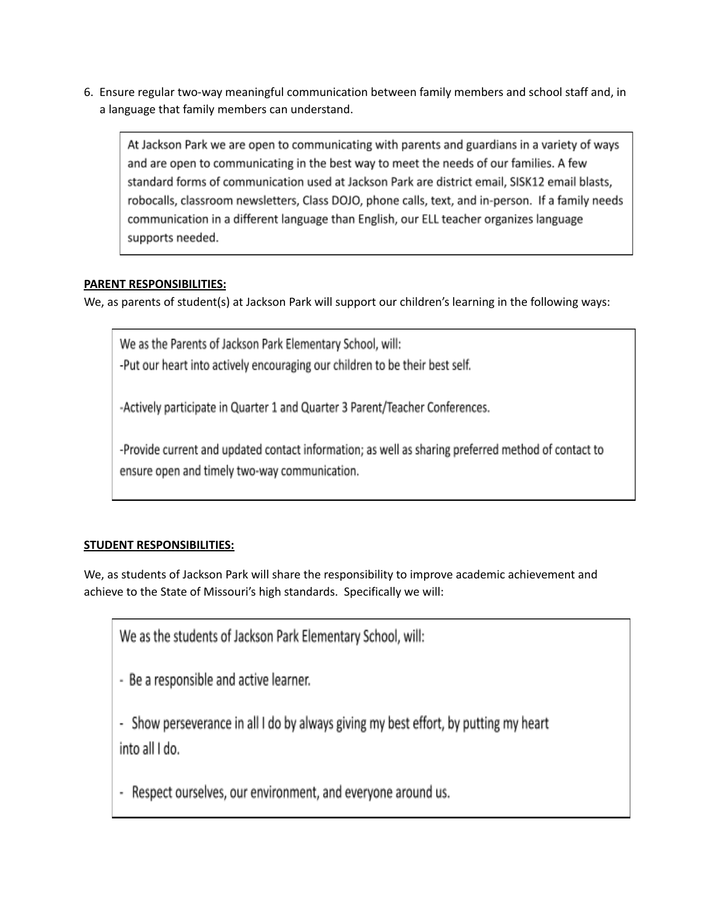6. Ensure regular two-way meaningful communication between family members and school staff and, in a language that family members can understand.

At Jackson Park we are open to communicating with parents and guardians in a variety of ways and are open to communicating in the best way to meet the needs of our families. A few standard forms of communication used at Jackson Park are district email, SISK12 email blasts, robocalls, classroom newsletters, Class DOJO, phone calls, text, and in-person. If a family needs communication in a different language than English, our ELL teacher organizes language supports needed.

## **PARENT RESPONSIBILITIES:**

We, as parents of student(s) at Jackson Park will support our children's learning in the following ways:

We as the Parents of Jackson Park Elementary School, will: -Put our heart into actively encouraging our children to be their best self.

-Actively participate in Quarter 1 and Quarter 3 Parent/Teacher Conferences.

-Provide current and updated contact information; as well as sharing preferred method of contact to ensure open and timely two-way communication.

# **STUDENT RESPONSIBILITIES:**

We, as students of Jackson Park will share the responsibility to improve academic achievement and achieve to the State of Missouri's high standards. Specifically we will:

We as the students of Jackson Park Elementary School, will:

- Be a responsible and active learner.

- Show perseverance in all I do by always giving my best effort, by putting my heart into all I do.

- Respect ourselves, our environment, and everyone around us.